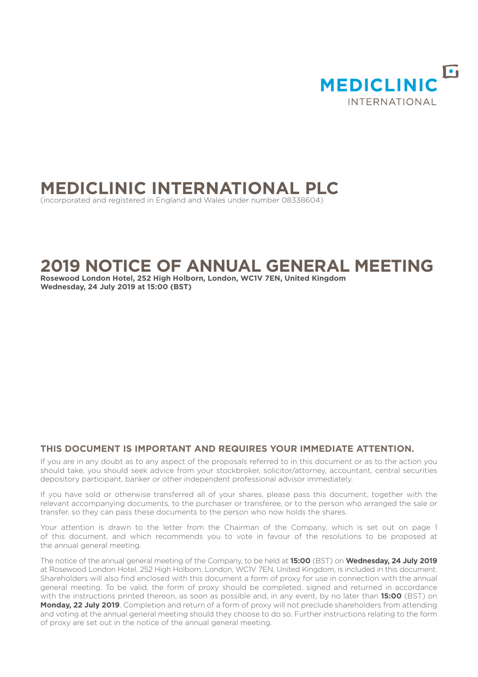

# **MEDICLINIC INTERNATIONAL PLC**

(incorporated and registered in England and Wales under number 08338604)

# **2019 NOTICE OF ANNUAL GENERAL MEETING**

**Rosewood London Hotel, 252 High Holborn, London, WC1V 7EN, United Kingdom Wednesday, 24 July 2019 at 15:00 (BST)**

# **THIS DOCUMENT IS IMPORTANT AND REQUIRES YOUR IMMEDIATE ATTENTION.**

If you are in any doubt as to any aspect of the proposals referred to in this document or as to the action you should take, you should seek advice from your stockbroker, solicitor/attorney, accountant, central securities depository participant, banker or other independent professional advisor immediately.

If you have sold or otherwise transferred all of your shares, please pass this document, together with the relevant accompanying documents, to the purchaser or transferee, or to the person who arranged the sale or transfer, so they can pass these documents to the person who now holds the shares.

Your attention is drawn to the letter from the Chairman of the Company, which is set out on page 1 of this document, and which recommends you to vote in favour of the resolutions to be proposed at the annual general meeting.

The notice of the annual general meeting of the Company, to be held at **15:00** (BST) on **Wednesday, 24 July 2019** at Rosewood London Hotel, 252 High Holborn, London, WC1V 7EN, United Kingdom, is included in this document. Shareholders will also find enclosed with this document a form of proxy for use in connection with the annual general meeting. To be valid, the form of proxy should be completed, signed and returned in accordance with the instructions printed thereon, as soon as possible and, in any event, by no later than **15:00** (BST) on **Monday, 22 July 2019**. Completion and return of a form of proxy will not preclude shareholders from attending and voting at the annual general meeting should they choose to do so. Further instructions relating to the form of proxy are set out in the notice of the annual general meeting.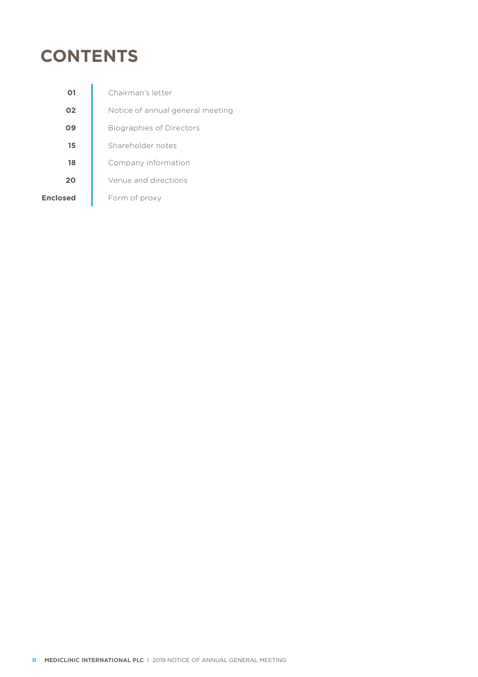# **CONTENTS**

| 01       | Chairman's letter                |
|----------|----------------------------------|
| 02       | Notice of annual general meeting |
| 09       | <b>Biographies of Directors</b>  |
| 15       | Shareholder notes                |
| 18       | Company information              |
| 20       | Venue and directions             |
| Enclosed | Form of proxy                    |
|          |                                  |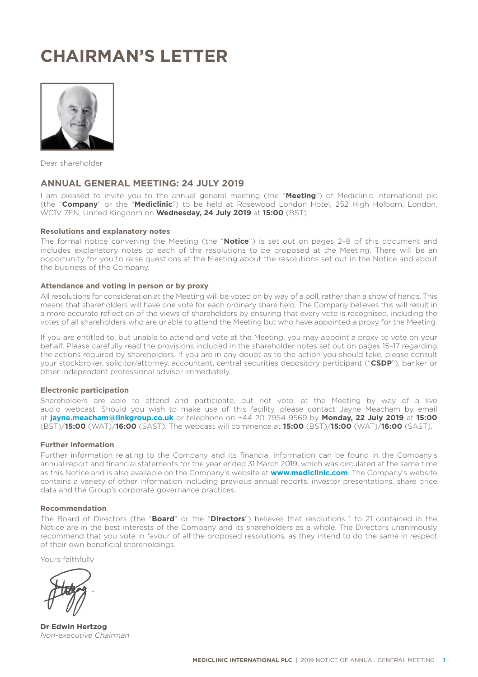# **CHAIRMAN'S LETTER**



Dear shareholder

# **ANNUAL GENERAL MEETING: 24 JULY 2019**

I am pleased to invite you to the annual general meeting (the "**Meeting**") of Mediclinic International plc (the "**Company**" or the "**Mediclinic**") to be held at Rosewood London Hotel, 252 High Holborn, London, WC1V 7EN, United Kingdom on **Wednesday, 24 July 2019** at **15:00** (BST).

#### **Resolutions and explanatory notes**

The formal notice convening the Meeting (the "**Notice**") is set out on pages 2–8 of this document and includes explanatory notes to each of the resolutions to be proposed at the Meeting. There will be an opportunity for you to raise questions at the Meeting about the resolutions set out in the Notice and about the business of the Company.

#### **Attendance and voting in person or by proxy**

All resolutions for consideration at the Meeting will be voted on by way of a poll, rather than a show of hands. This means that shareholders will have one vote for each ordinary share held. The Company believes this will result in a more accurate reflection of the views of shareholders by ensuring that every vote is recognised, including the votes of all shareholders who are unable to attend the Meeting but who have appointed a proxy for the Meeting.

If you are entitled to, but unable to attend and vote at the Meeting, you may appoint a proxy to vote on your behalf. Please carefully read the provisions included in the shareholder notes set out on pages 15–17 regarding the actions required by shareholders. If you are in any doubt as to the action you should take, please consult your stockbroker, solicitor/attorney, accountant, central securities depository participant ("**CSDP**"), banker or other independent professional advisor immediately.

#### **Electronic participation**

Shareholders are able to attend and participate, but not vote, at the Meeting by way of a live audio webcast. Should you wish to make use of this facility, please contact Jayne Meacham by email at **jayne.meacham@linkgroup.co.uk** or telephone on +44 20 7954 9569 by **Monday, 22 July 2019** at **15:00** (BST)/**15:00** (WAT)/**16:00** (SAST). The webcast will commence at **15:00** (BST)/**15:00** (WAT)/**16:00** (SAST).

#### **Further information**

Further information relating to the Company and its financial information can be found in the Company's annual report and financial statements for the year ended 31 March 2019, which was circulated at the same time as this Notice and is also available on the Company's website at **www.mediclinic.com**. The Company's website contains a variety of other information including previous annual reports, investor presentations, share price data and the Group's corporate governance practices.

#### **Recommendation**

The Board of Directors (the "**Board**" or the "**Directors**") believes that resolutions 1 to 21 contained in the Notice are in the best interests of the Company and its shareholders as a whole. The Directors unanimously recommend that you vote in favour of all the proposed resolutions, as they intend to do the same in respect of their own beneficial shareholdings.

Yours faithfully

**Dr Edwin Hertzog** *Non-executive Chairman*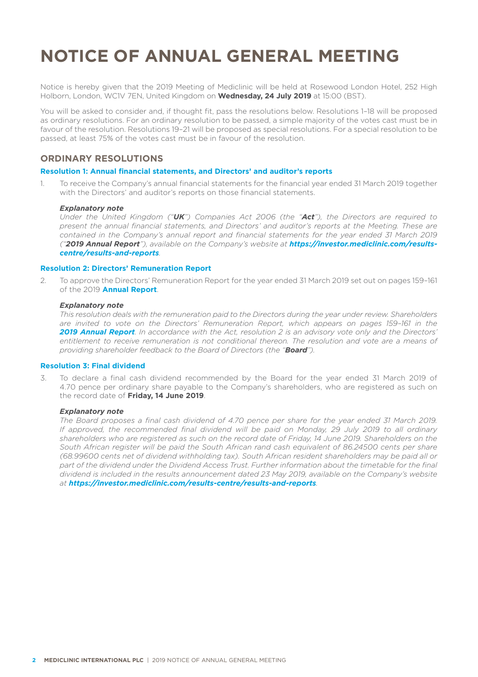# **NOTICE OF ANNUAL GENERAL MEETING**

Notice is hereby given that the 2019 Meeting of Mediclinic will be held at Rosewood London Hotel. 252 High Holborn, London, WC1V 7EN, United Kingdom on **Wednesday, 24 July 2019** at 15:00 (BST).

You will be asked to consider and, if thought fit, pass the resolutions below. Resolutions 1–18 will be proposed as ordinary resolutions. For an ordinary resolution to be passed, a simple majority of the votes cast must be in favour of the resolution. Resolutions 19–21 will be proposed as special resolutions. For a special resolution to be passed, at least 75% of the votes cast must be in favour of the resolution.

# **ORDINARY RESOLUTIONS**

# **Resolution 1: Annual financial statements, and Directors' and auditor's reports**

1. To receive the Company's annual financial statements for the financial year ended 31 March 2019 together with the Directors' and auditor's reports on those financial statements.

#### *Explanatory note*

 *Under the United Kingdom ("UK") Companies Act 2006 (the "Act"), the Directors are required to present the annual financial statements, and Directors' and auditor's reports at the Meeting. These are contained in the Company's annual report and financial statements for the year ended 31 March 2019 ("2019 Annual Report"), available on the Company's website at https://investor.mediclinic.com/resultscentre/results-and-reports.*

# **Resolution 2: Directors' Remuneration Report**

2. To approve the Directors' Remuneration Report for the year ended 31 March 2019 set out on pages 159–161 of the 2019 **Annual Report**.

# *Explanatory note*

 *This resolution deals with the remuneration paid to the Directors during the year under review. Shareholders are invited to vote on the Directors' Remuneration Report, which appears on pages 159–161 in the 2019 Annual Report. In accordance with the Act, resolution 2 is an advisory vote only and the Directors'*  entitlement to receive remuneration is not conditional thereon. The resolution and vote are a means of *providing shareholder feedback to the Board of Directors (the "Board").*

# **Resolution 3: Final dividend**

3. To declare a final cash dividend recommended by the Board for the year ended 31 March 2019 of 4.70 pence per ordinary share payable to the Company's shareholders, who are registered as such on the record date of **Friday, 14 June 2019**.

#### *Explanatory note*

 *The Board proposes a final cash dividend of 4.70 pence per share for the year ended 31 March 2019. If approved, the recommended final dividend will be paid on Monday, 29 July 2019 to all ordinary shareholders who are registered as such on the record date of Friday, 14 June 2019. Shareholders on the*  South African register will be paid the South African rand cash equivalent of 86.24500 cents per share *(68.99600 cents net of dividend withholding tax). South African resident shareholders may be paid all or*  part of the dividend under the Dividend Access Trust. Further information about the timetable for the final *dividend is included in the results announcement dated 23 May 2019, available on the Company's website at https://investor.mediclinic.com/results-centre/results-and-reports.*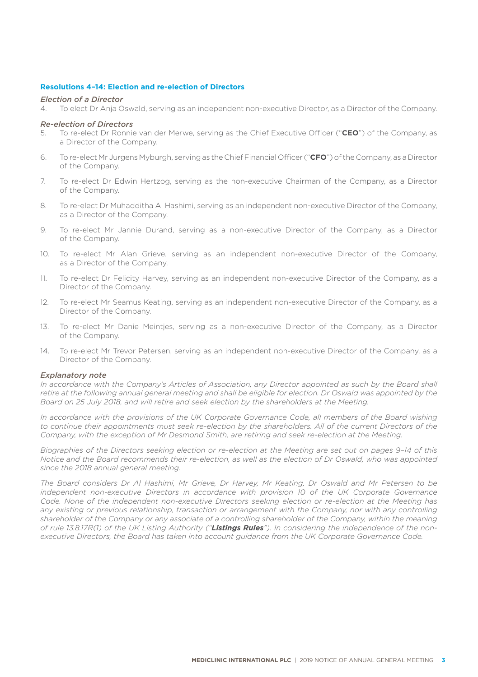## **Resolutions 4–14: Election and re-election of Directors**

# *Election of a Director*

4. To elect Dr Anja Oswald, serving as an independent non-executive Director, as a Director of the Company.

# *Re-election of Directors*

- 5. To re-elect Dr Ronnie van der Merwe, serving as the Chief Executive Officer ("**CEO**") of the Company, as a Director of the Company.
- 6. To re-elect Mr Jurgens Myburgh, serving as the Chief Financial Officer ("**CFO**") of the Company, as a Director of the Company.
- 7. To re-elect Dr Edwin Hertzog, serving as the non-executive Chairman of the Company, as a Director of the Company.
- 8. To re-elect Dr Muhadditha Al Hashimi, serving as an independent non-executive Director of the Company, as a Director of the Company.
- 9. To re-elect Mr Jannie Durand, serving as a non-executive Director of the Company, as a Director of the Company.
- 10. To re-elect Mr Alan Grieve, serving as an independent non-executive Director of the Company, as a Director of the Company.
- 11. To re-elect Dr Felicity Harvey, serving as an independent non-executive Director of the Company, as a Director of the Company.
- 12. To re-elect Mr Seamus Keating, serving as an independent non-executive Director of the Company, as a Director of the Company.
- 13. To re-elect Mr Danie Meintjes, serving as a non-executive Director of the Company, as a Director of the Company.
- 14. To re-elect Mr Trevor Petersen, serving as an independent non-executive Director of the Company, as a Director of the Company.

#### *Explanatory note*

*In accordance with the Company's Articles of Association, any Director appointed as such by the Board shall*  retire at the following annual general meeting and shall be eligible for election. Dr Oswald was appointed by the *Board on 25 July 2018, and will retire and seek election by the shareholders at the Meeting.*

*In accordance with the provisions of the UK Corporate Governance Code, all members of the Board wishing*  to continue their appointments must seek re-election by the shareholders. All of the current Directors of the *Company, with the exception of Mr Desmond Smith, are retiring and seek re-election at the Meeting.* 

*Biographies of the Directors seeking election or re-election at the Meeting are set out on pages 9–14 of this Notice and the Board recommends their re-election, as well as the election of Dr Oswald, who was appointed since the 2018 annual general meeting.*

*The Board considers Dr Al Hashimi, Mr Grieve, Dr Harvey, Mr Keating, Dr Oswald and Mr Petersen to be independent non-executive Directors in accordance with provision 10 of the UK Corporate Governance Code. None of the independent non-executive Directors seeking election or re-election at the Meeting has*  any existing or previous relationship, transaction or arrangement with the Company, nor with any controlling *shareholder of the Company or any associate of a controlling shareholder of the Company, within the meaning of rule 13.8.17R(1) of the UK Listing Authority ("Listings Rules"). In considering the independence of the nonexecutive Directors, the Board has taken into account guidance from the UK Corporate Governance Code.*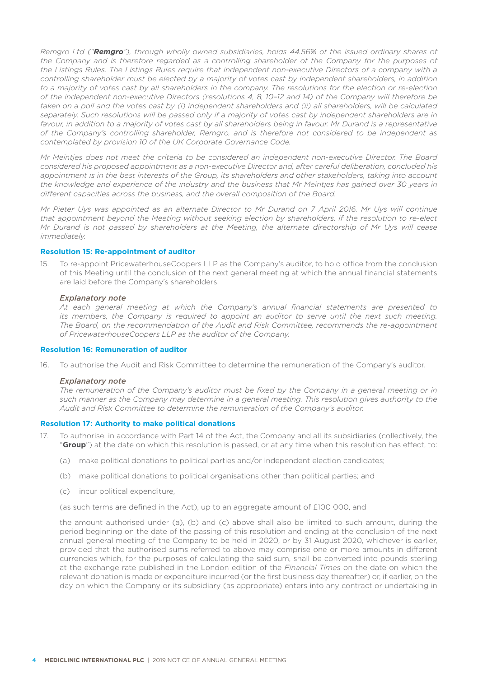*Remgro Ltd ("Remgro"), through wholly owned subsidiaries, holds 44.56% of the issued ordinary shares of the Company and is therefore regarded as a controlling shareholder of the Company for the purposes of the Listings Rules. The Listings Rules require that independent non-executive Directors of a company with a controlling shareholder must be elected by a majority of votes cast by independent shareholders, in addition*  to a majority of votes cast by all shareholders in the company. The resolutions for the election or re-election *of the independent non-executive Directors (resolutions 4, 8, 10–12 and 14) of the Company will therefore be*  taken on a poll and the votes cast by (i) independent shareholders and (ii) all shareholders, will be calculated *separately. Such resolutions will be passed only if a majority of votes cast by independent shareholders are in*  favour, in addition to a majority of votes cast by all shareholders being in favour. Mr Durand is a representative *of the Company's controlling shareholder, Remgro, and is therefore not considered to be independent as contemplated by provision 10 of the UK Corporate Governance Code.* 

*Mr Meintjes does not meet the criteria to be considered an independent non-executive Director. The Board considered his proposed appointment as a non-executive Director and, after careful deliberation, concluded his*  appointment is in the best interests of the Group, its shareholders and other stakeholders, taking into account *the knowledge and experience of the industry and the business that Mr Meintjes has gained over 30 years in different capacities across the business, and the overall composition of the Board.* 

*Mr Pieter Uys was appointed as an alternate Director to Mr Durand on 7 April 2016. Mr Uys will continue that appointment beyond the Meeting without seeking election by shareholders. If the resolution to re-elect Mr Durand is not passed by shareholders at the Meeting, the alternate directorship of Mr Uys will cease immediately.* 

#### **Resolution 15: Re-appointment of auditor**

15. To re-appoint PricewaterhouseCoopers LLP as the Company's auditor, to hold office from the conclusion of this Meeting until the conclusion of the next general meeting at which the annual financial statements are laid before the Company's shareholders.

#### *Explanatory note*

 *At each general meeting at which the Company's annual financial statements are presented to its members, the Company is required to appoint an auditor to serve until the next such meeting. The Board, on the recommendation of the Audit and Risk Committee, recommends the re-appointment of PricewaterhouseCoopers LLP as the auditor of the Company.*

#### **Resolution 16: Remuneration of auditor**

16. To authorise the Audit and Risk Committee to determine the remuneration of the Company's auditor.

#### *Explanatory note*

 *The remuneration of the Company's auditor must be fixed by the Company in a general meeting or in such manner as the Company may determine in a general meeting. This resolution gives authority to the Audit and Risk Committee to determine the remuneration of the Company's auditor.*

# **Resolution 17: Authority to make political donations**

- 17. To authorise, in accordance with Part 14 of the Act, the Company and all its subsidiaries (collectively, the "**Group**") at the date on which this resolution is passed, or at any time when this resolution has effect, to:
	- (a) make political donations to political parties and/or independent election candidates;
	- (b) make political donations to political organisations other than political parties; and
	- (c) incur political expenditure,

(as such terms are defined in the Act), up to an aggregate amount of £100 000, and

the amount authorised under (a), (b) and (c) above shall also be limited to such amount, during the period beginning on the date of the passing of this resolution and ending at the conclusion of the next annual general meeting of the Company to be held in 2020, or by 31 August 2020, whichever is earlier, provided that the authorised sums referred to above may comprise one or more amounts in different currencies which, for the purposes of calculating the said sum, shall be converted into pounds sterling at the exchange rate published in the London edition of the *Financial Times* on the date on which the relevant donation is made or expenditure incurred (or the first business day thereafter) or, if earlier, on the day on which the Company or its subsidiary (as appropriate) enters into any contract or undertaking in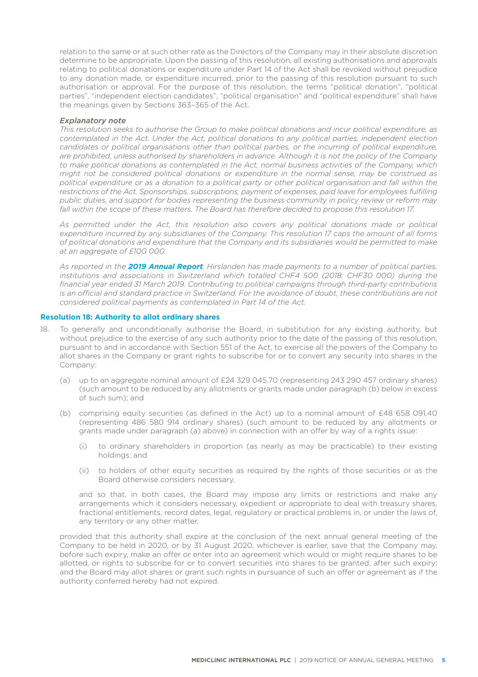relation to the same or at such other rate as the Directors of the Company may in their absolute discretion determine to be appropriate. Upon the passing of this resolution, all existing authorisations and approvals relating to political donations or expenditure under Part 14 of the Act shall be revoked without prejudice to any donation made, or expenditure incurred, prior to the passing of this resolution pursuant to such authorisation or approval. For the purpose of this resolution, the terms "political donation", "political parties", "independent election candidates", "political organisation" and "political expenditure" shall have the meanings given by Sections 363–365 of the Act.

#### *Explanatory note*

 *This resolution seeks to authorise the Group to make political donations and incur political expenditure, as contemplated in the Act. Under the Act, political donations to any political parties, independent election candidates or political organisations other than political parties, or the incurring of political expenditure, are prohibited, unless authorised by shareholders in advance. Although it is not the policy of the Company to make political donations as contemplated in the Act, normal business activities of the Company, which might not be considered political donations or expenditure in the normal sense, may be construed as political expenditure or as a donation to a political party or other political organisation and fall within the restrictions of the Act. Sponsorships, subscriptions, payment of expenses, paid leave for employees fulfilling public duties, and support for bodies representing the business community in policy review or reform may*  fall within the scope of these matters. The Board has therefore decided to propose this resolution 17.

 *As permitted under the Act, this resolution also covers any political donations made or political expenditure incurred by any subsidiaries of the Company. This resolution 17 caps the amount of all forms of political donations and expenditure that the Company and its subsidiaries would be permitted to make at an aggregate of £100 000.*

 *As reported in the 2019 Annual Report, Hirslanden has made payments to a number of political parties,*  institutions and associations in Switzerland which totalled CHF4 500 (2018: CHF30 000) during the *financial year ended 31 March 2019. Contributing to political campaigns through third-party contributions is an official and standard practice in Switzerland. For the avoidance of doubt, these contributions are not considered political payments as contemplated in Part 14 of the Act.* 

## **Resolution 18: Authority to allot ordinary shares**

- 18. To generally and unconditionally authorise the Board, in substitution for any existing authority, but without prejudice to the exercise of any such authority prior to the date of the passing of this resolution, pursuant to and in accordance with Section 551 of the Act, to exercise all the powers of the Company to allot shares in the Company or grant rights to subscribe for or to convert any security into shares in the Company:
	- (a) up to an aggregate nominal amount of £24 329 045.70 (representing 243 290 457 ordinary shares) (such amount to be reduced by any allotments or grants made under paragraph (b) below in excess of such sum); and
	- (b) comprising equity securities (as defined in the Act) up to a nominal amount of £48 658 091.40 (representing 486 580 914 ordinary shares) (such amount to be reduced by any allotments or grants made under paragraph (a) above) in connection with an offer by way of a rights issue:
		- (i) to ordinary shareholders in proportion (as nearly as may be practicable) to their existing holdings; and
		- (ii) to holders of other equity securities as required by the rights of those securities or as the Board otherwise considers necessary,

 and so that, in both cases, the Board may impose any limits or restrictions and make any arrangements which it considers necessary, expedient or appropriate to deal with treasury shares, fractional entitlements, record dates, legal, regulatory or practical problems in, or under the laws of, any territory or any other matter,

 provided that this authority shall expire at the conclusion of the next annual general meeting of the Company to be held in 2020, or by 31 August 2020, whichever is earlier, save that the Company may, before such expiry, make an offer or enter into an agreement which would or might require shares to be allotted, or rights to subscribe for or to convert securities into shares to be granted, after such expiry; and the Board may allot shares or grant such rights in pursuance of such an offer or agreement as if the authority conferred hereby had not expired.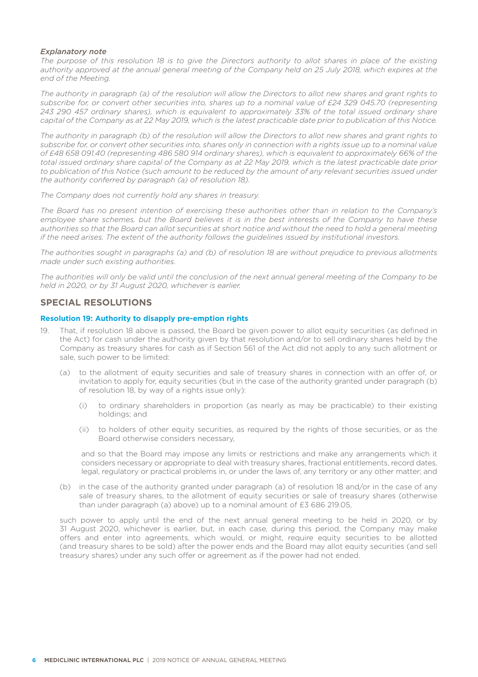# *Explanatory note*

*The purpose of this resolution 18 is to give the Directors authority to allot shares in place of the existing authority approved at the annual general meeting of the Company held on 25 July 2018, which expires at the end of the Meeting.* 

*The authority in paragraph (a) of the resolution will allow the Directors to allot new shares and grant rights to subscribe for, or convert other securities into, shares up to a nominal value of £24 329 045.70 (representing 243 290 457 ordinary shares), which is equivalent to approximately 33% of the total issued ordinary share capital of the Company as at 22 May 2019, which is the latest practicable date prior to publication of this Notice.*

*The authority in paragraph (b) of the resolution will allow the Directors to allot new shares and grant rights to subscribe for, or convert other securities into, shares only in connection with a rights issue up to a nominal value of £48 658 091.40 (representing 486 580 914 ordinary shares), which is equivalent to approximately 66% of the total issued ordinary share capital of the Company as at 22 May 2019, which is the latest practicable date prior*  to publication of this Notice (such amount to be reduced by the amount of any relevant securities issued under *the authority conferred by paragraph (a) of resolution 18).*

*The Company does not currently hold any shares in treasury.*

*The Board has no present intention of exercising these authorities other than in relation to the Company's employee share schemes, but the Board believes it is in the best interests of the Company to have these authorities so that the Board can allot securities at short notice and without the need to hold a general meeting if the need arises. The extent of the authority follows the guidelines issued by institutional investors.* 

*The authorities sought in paragraphs (a) and (b) of resolution 18 are without prejudice to previous allotments made under such existing authorities.*

*The authorities will only be valid until the conclusion of the next annual general meeting of the Company to be held in 2020, or by 31 August 2020, whichever is earlier.*

# **SPECIAL RESOLUTIONS**

# **Resolution 19: Authority to disapply pre-emption rights**

- 19. That, if resolution 18 above is passed, the Board be given power to allot equity securities (as defined in the Act) for cash under the authority given by that resolution and/or to sell ordinary shares held by the Company as treasury shares for cash as if Section 561 of the Act did not apply to any such allotment or sale, such power to be limited:
	- (a) to the allotment of equity securities and sale of treasury shares in connection with an offer of, or invitation to apply for, equity securities (but in the case of the authority granted under paragraph (b) of resolution 18, by way of a rights issue only):
		- (i) to ordinary shareholders in proportion (as nearly as may be practicable) to their existing holdings; and
		- (ii) to holders of other equity securities, as required by the rights of those securities, or as the Board otherwise considers necessary,

and so that the Board may impose any limits or restrictions and make any arrangements which it considers necessary or appropriate to deal with treasury shares, fractional entitlements, record dates, legal, regulatory or practical problems in, or under the laws of, any territory or any other matter; and

(b) in the case of the authority granted under paragraph (a) of resolution 18 and/or in the case of any sale of treasury shares, to the allotment of equity securities or sale of treasury shares (otherwise than under paragraph (a) above) up to a nominal amount of £3 686 219.05,

 such power to apply until the end of the next annual general meeting to be held in 2020, or by 31 August 2020, whichever is earlier, but, in each case, during this period, the Company may make offers and enter into agreements, which would, or might, require equity securities to be allotted (and treasury shares to be sold) after the power ends and the Board may allot equity securities (and sell treasury shares) under any such offer or agreement as if the power had not ended.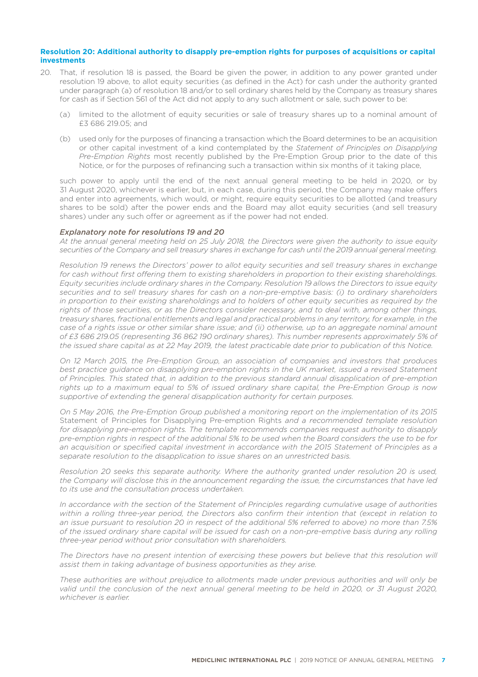### **Resolution 20: Additional authority to disapply pre-emption rights for purposes of acquisitions or capital investments**

- 20. That, if resolution 18 is passed, the Board be given the power, in addition to any power granted under resolution 19 above, to allot equity securities (as defined in the Act) for cash under the authority granted under paragraph (a) of resolution 18 and/or to sell ordinary shares held by the Company as treasury shares for cash as if Section 561 of the Act did not apply to any such allotment or sale, such power to be:
	- (a) limited to the allotment of equity securities or sale of treasury shares up to a nominal amount of £3 686 219.05; and
	- (b) used only for the purposes of financing a transaction which the Board determines to be an acquisition or other capital investment of a kind contemplated by the *Statement of Principles on Disapplying Pre-Emption Rights* most recently published by the Pre-Emption Group prior to the date of this Notice, or for the purposes of refinancing such a transaction within six months of it taking place,

such power to apply until the end of the next annual general meeting to be held in 2020, or by 31 August 2020, whichever is earlier, but, in each case, during this period, the Company may make offers and enter into agreements, which would, or might, require equity securities to be allotted (and treasury shares to be sold) after the power ends and the Board may allot equity securities (and sell treasury shares) under any such offer or agreement as if the power had not ended.

### *Explanatory note for resolutions 19 and 20*

 *At the annual general meeting held on 25 July 2018, the Directors were given the authority to issue equity securities of the Company and sell treasury shares in exchange for cash until the 2019 annual general meeting.*

 *Resolution 19 renews the Directors' power to allot equity securities and sell treasury shares in exchange for cash without first offering them to existing shareholders in proportion to their existing shareholdings. Equity securities include ordinary shares in the Company. Resolution 19 allows the Directors to issue equity securities and to sell treasury shares for cash on a non-pre-emptive basis: (i) to ordinary shareholders in proportion to their existing shareholdings and to holders of other equity securities as required by the rights of those securities, or as the Directors consider necessary, and to deal with, among other things, treasury shares, fractional entitlements and legal and practical problems in any territory, for example, in the case of a rights issue or other similar share issue; and (ii) otherwise, up to an aggregate nominal amount of £3 686 219.05 (representing 36 862 190 ordinary shares). This number represents approximately 5% of the issued share capital as at 22 May 2019, the latest practicable date prior to publication of this Notice.*

 *On 12 March 2015, the Pre-Emption Group, an association of companies and investors that produces*  best practice guidance on disapplying pre-emption rights in the UK market, issued a revised Statement *of Principles. This stated that, in addition to the previous standard annual disapplication of pre-emption rights up to a maximum equal to 5% of issued ordinary share capital, the Pre-Emption Group is now supportive of extending the general disapplication authority for certain purposes.* 

 *On 5 May 2016, the Pre-Emption Group published a monitoring report on the implementation of its 2015*  Statement of Principles for Disapplying Pre-emption Rights *and a recommended template resolution for disapplying pre-emption rights. The template recommends companies request authority to disapply pre-emption rights in respect of the additional 5% to be used when the Board considers the use to be for an acquisition or specified capital investment in accordance with the 2015 Statement of Principles as a separate resolution to the disapplication to issue shares on an unrestricted basis.*

 *Resolution 20 seeks this separate authority. Where the authority granted under resolution 20 is used, the Company will disclose this in the announcement regarding the issue, the circumstances that have led to its use and the consultation process undertaken.*

 *In accordance with the section of the Statement of Principles regarding cumulative usage of authorities within a rolling three-year period, the Directors also confirm their intention that (except in relation to an issue pursuant to resolution 20 in respect of the additional 5% referred to above) no more than 7.5% of the issued ordinary share capital will be issued for cash on a non-pre-emptive basis during any rolling three-year period without prior consultation with shareholders.*

The Directors have no present intention of exercising these powers but believe that this resolution will *assist them in taking advantage of business opportunities as they arise.*

 *These authorities are without prejudice to allotments made under previous authorities and will only be valid until the conclusion of the next annual general meeting to be held in 2020, or 31 August 2020, whichever is earlier.*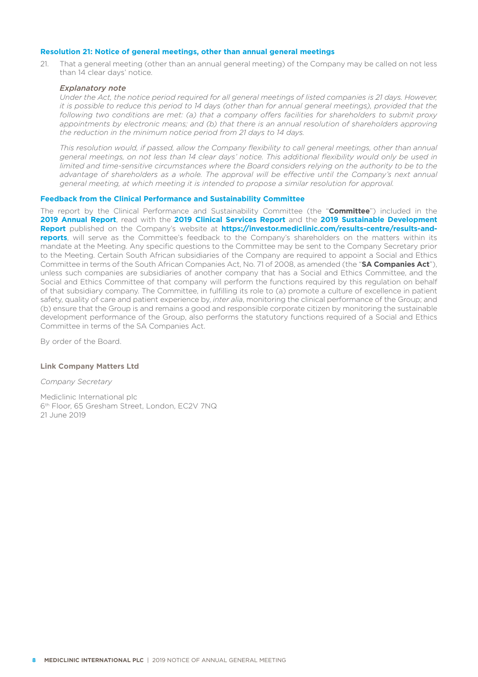# **Resolution 21: Notice of general meetings, other than annual general meetings**

21. That a general meeting (other than an annual general meeting) of the Company may be called on not less than 14 clear days' notice.

#### *Explanatory note*

 *Under the Act, the notice period required for all general meetings of listed companies is 21 days. However, it is possible to reduce this period to 14 days (other than for annual general meetings), provided that the following two conditions are met: (a) that a company offers facilities for shareholders to submit proxy appointments by electronic means; and (b) that there is an annual resolution of shareholders approving the reduction in the minimum notice period from 21 days to 14 days.* 

 *This resolution would, if passed, allow the Company flexibility to call general meetings, other than annual general meetings, on not less than 14 clear days' notice. This additional flexibility would only be used in limited and time-sensitive circumstances where the Board considers relying on the authority to be to the* advantage of shareholders as a whole. The approval will be effective until the Company's next annual *general meeting, at which meeting it is intended to propose a similar resolution for approval.*

### **Feedback from the Clinical Performance and Sustainability Committee**

The report by the Clinical Performance and Sustainability Committee (the "**Committee**") included in the **2019 Annual Report**, read with the **2019 Clinical Services Report** and the **2019 Sustainable Development**  Report published on the Company's website at https://investor.mediclinic.com/results-centre/results-and**reports**, will serve as the Committee's feedback to the Company's shareholders on the matters within its mandate at the Meeting. Any specific questions to the Committee may be sent to the Company Secretary prior to the Meeting. Certain South African subsidiaries of the Company are required to appoint a Social and Ethics Committee in terms of the South African Companies Act, No. 71 of 2008, as amended (the "**SA Companies Act**"), unless such companies are subsidiaries of another company that has a Social and Ethics Committee, and the Social and Ethics Committee of that company will perform the functions required by this regulation on behalf of that subsidiary company. The Committee, in fulfilling its role to (a) promote a culture of excellence in patient safety, quality of care and patient experience by, *inter alia*, monitoring the clinical performance of the Group; and (b) ensure that the Group is and remains a good and responsible corporate citizen by monitoring the sustainable development performance of the Group, also performs the statutory functions required of a Social and Ethics Committee in terms of the SA Companies Act.

By order of the Board.

#### **Link Company Matters Ltd**

# *Company Secretary*

Mediclinic International plc 6<sup>th</sup> Floor, 65 Gresham Street, London, EC2V 7NQ 21 June 2019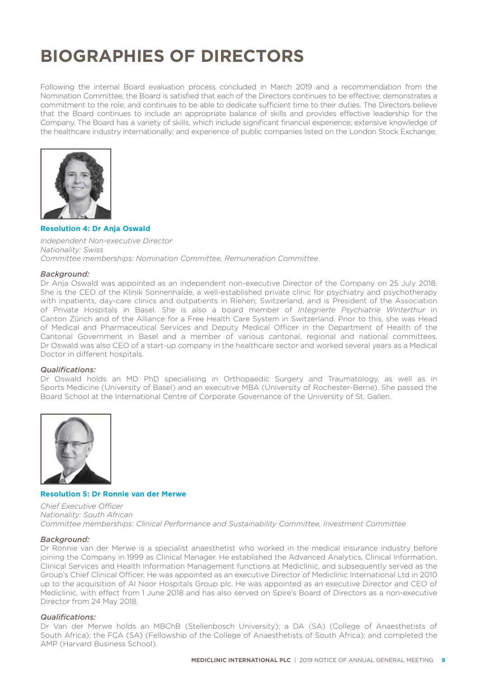# **BIOGRAPHIES OF DIRECTORS**

Following the internal Board evaluation process concluded in March 2019 and a recommendation from the Nomination Committee, the Board is satisfied that each of the Directors continues to be effective; demonstrates a commitment to the role; and continues to be able to dedicate sufficient time to their duties. The Directors believe that the Board continues to include an appropriate balance of skills and provides effective leadership for the Company. The Board has a variety of skills, which include significant financial experience; extensive knowledge of the healthcare industry internationally; and experience of public companies listed on the London Stock Exchange.



#### **Resolution 4: Dr Anja Oswald**

*Independent Non-executive Director Nationality: Swiss Committee memberships: Nomination Committee, Remuneration Committee*

#### *Background:*

Dr Anja Oswald was appointed as an independent non-executive Director of the Company on 25 July 2018. She is the CEO of the Klinik Sonnenhalde, a well-established private clinic for psychiatry and psychotherapy with inpatients, day-care clinics and outpatients in Riehen, Switzerland, and is President of the Association of Private Hospitals in Basel. She is also a board member of *Integrierte Psychiatrie Winterthur* in Canton Zürich and of the Alliance for a Free Health Care System in Switzerland. Prior to this, she was Head of Medical and Pharmaceutical Services and Deputy Medical Officer in the Department of Health of the Cantonal Government in Basel and a member of various cantonal, regional and national committees. Dr Oswald was also CEO of a start-up company in the healthcare sector and worked several years as a Medical Doctor in different hospitals.

#### *Qualifi cations:*

Dr Oswald holds an MD PhD specialising in Orthopaedic Surgery and Traumatology, as well as in Sports Medicine (University of Basel) and an executive MBA (University of Rochester-Berne). She passed the Board School at the International Centre of Corporate Governance of the University of St. Gallen.

![](_page_10_Picture_9.jpeg)

# **Resolution 5: Dr Ronnie van der Merwe**

*Chief Executive Officer Nationality: South African Committee memberships: Clinical Performance and Sustainability Committee, Investment Committee*

#### *Background:*

Dr Ronnie van der Merwe is a specialist anaesthetist who worked in the medical insurance industry before joining the Company in 1999 as Clinical Manager. He established the Advanced Analytics, Clinical Information, Clinical Services and Health Information Management functions at Mediclinic, and subsequently served as the Group's Chief Clinical Officer. He was appointed as an executive Director of Mediclinic International Ltd in 2010 up to the acquisition of Al Noor Hospitals Group plc. He was appointed as an executive Director and CEO of Mediclinic, with effect from 1 June 2018 and has also served on Spire's Board of Directors as a non-executive Director from 24 May 2018.

# *Qualifi cations:*

Dr Van der Merwe holds an MBChB (Stellenbosch University); a DA (SA) (College of Anaesthetists of South Africa); the FCA (SA) (Fellowship of the College of Anaesthetists of South Africa); and completed the AMP (Harvard Business School).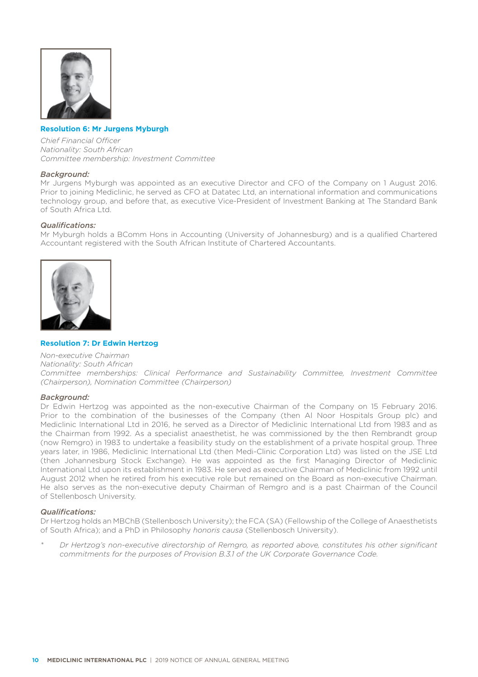![](_page_11_Picture_0.jpeg)

# **Resolution 6: Mr Jurgens Myburgh**

*Chief Financial Offi cer Nationality: South African Committee membership: Investment Committee*

#### *Background:*

Mr Jurgens Myburgh was appointed as an executive Director and CFO of the Company on 1 August 2016. Prior to joining Mediclinic, he served as CFO at Datatec Ltd, an international information and communications technology group, and before that, as executive Vice-President of Investment Banking at The Standard Bank of South Africa Ltd.

## *Qualifi cations:*

Mr Myburgh holds a BComm Hons in Accounting (University of Johannesburg) and is a qualified Chartered Accountant registered with the South African Institute of Chartered Accountants.

![](_page_11_Picture_7.jpeg)

# **Resolution 7: Dr Edwin Hertzog**

*Non-executive Chairman Nationality: South African*

*Committee memberships: Clinical Performance and Sustainability Committee, Investment Committee (Chairperson), Nomination Committee (Chairperson)*

## *Background:*

Dr Edwin Hertzog was appointed as the non-executive Chairman of the Company on 15 February 2016. Prior to the combination of the businesses of the Company (then Al Noor Hospitals Group plc) and Mediclinic International Ltd in 2016, he served as a Director of Mediclinic International Ltd from 1983 and as the Chairman from 1992. As a specialist anaesthetist, he was commissioned by the then Rembrandt group (now Remgro) in 1983 to undertake a feasibility study on the establishment of a private hospital group. Three years later, in 1986, Mediclinic International Ltd (then Medi-Clinic Corporation Ltd) was listed on the JSE Ltd (then Johannesburg Stock Exchange). He was appointed as the first Managing Director of Mediclinic International Ltd upon its establishment in 1983. He served as executive Chairman of Mediclinic from 1992 until August 2012 when he retired from his executive role but remained on the Board as non-executive Chairman. He also serves as the non-executive deputy Chairman of Remgro and is a past Chairman of the Council of Stellenbosch University.

### *Qualifi cations:*

Dr Hertzog holds an MBChB (Stellenbosch University); the FCA (SA) (Fellowship of the College of Anaesthetists of South Africa); and a PhD in Philosophy *honoris causa* (Stellenbosch University).

*\* Dr Hertzog's non-executive directorship of Remgro, as reported above, constitutes his other signifi cant commitments for the purposes of Provision B.3.1 of the UK Corporate Governance Code.*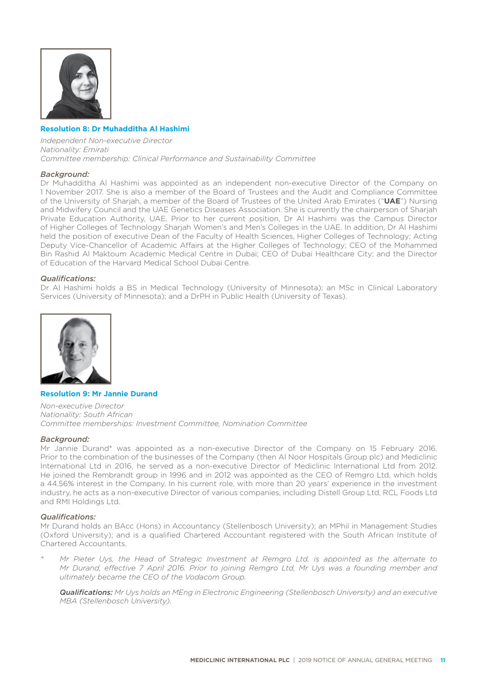![](_page_12_Picture_0.jpeg)

# **Resolution 8: Dr Muhadditha Al Hashimi**

*Independent Non-executive Director Nationality: Emirati Committee membership: Clinical Performance and Sustainability Committee*

#### *Background:*

Dr Muhadditha Al Hashimi was appointed as an independent non-executive Director of the Company on 1 November 2017. She is also a member of the Board of Trustees and the Audit and Compliance Committee of the University of Sharjah, a member of the Board of Trustees of the United Arab Emirates ("**UAE**") Nursing and Midwifery Council and the UAE Genetics Diseases Association. She is currently the chairperson of Sharjah Private Education Authority, UAE. Prior to her current position, Dr Al Hashimi was the Campus Director of Higher Colleges of Technology Sharjah Women's and Men's Colleges in the UAE. In addition, Dr Al Hashimi held the position of executive Dean of the Faculty of Health Sciences, Higher Colleges of Technology; Acting Deputy Vice-Chancellor of Academic Affairs at the Higher Colleges of Technology; CEO of the Mohammed Bin Rashid Al Maktoum Academic Medical Centre in Dubai; CEO of Dubai Healthcare City; and the Director of Education of the Harvard Medical School Dubai Centre.

#### *Qualifi cations:*

Dr Al Hashimi holds a BS in Medical Technology (University of Minnesota); an MSc in Clinical Laboratory Services (University of Minnesota); and a DrPH in Public Health (University of Texas).

![](_page_12_Picture_7.jpeg)

## **Resolution 9: Mr Jannie Durand**

*Non-executive Director Nationality: South African Committee memberships: Investment Committee, Nomination Committee*

#### *Background:*

Mr Jannie Durand\* was appointed as a non-executive Director of the Company on 15 February 2016. Prior to the combination of the businesses of the Company (then Al Noor Hospitals Group plc) and Mediclinic International Ltd in 2016, he served as a non-executive Director of Mediclinic International Ltd from 2012. He joined the Rembrandt group in 1996 and in 2012 was appointed as the CEO of Remgro Ltd, which holds a 44.56% interest in the Company. In his current role, with more than 20 years' experience in the investment industry, he acts as a non-executive Director of various companies, including Distell Group Ltd, RCL Foods Ltd and RMI Holdings Ltd.

#### *Qualifi cations:*

Mr Durand holds an BAcc (Hons) in Accountancy (Stellenbosch University); an MPhil in Management Studies (Oxford University); and is a qualified Chartered Accountant registered with the South African Institute of Chartered Accountants.

*\* Mr Pieter Uys, the Head of Strategic Investment at Remgro Ltd, is appointed as the alternate to Mr Durand, effective 7 April 2016. Prior to joining Remgro Ltd, Mr Uys was a founding member and ultimately became the CEO of the Vodacom Group.* 

 *Qualifi cations: Mr Uys holds an MEng in Electronic Engineering (Stellenbosch University) and an executive MBA (Stellenbosch University).*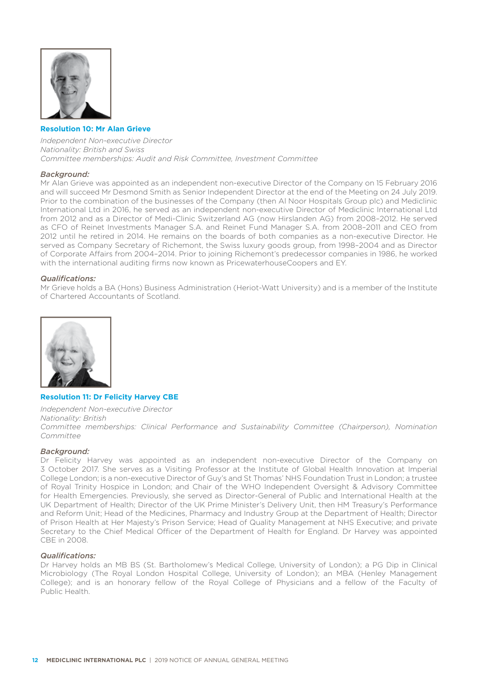![](_page_13_Picture_0.jpeg)

## **Resolution 10: Mr Alan Grieve**

*Independent Non-executive Director Nationality: British and Swiss Committee memberships: Audit and Risk Committee, Investment Committee* 

#### *Background:*

Mr Alan Grieve was appointed as an independent non-executive Director of the Company on 15 February 2016 and will succeed Mr Desmond Smith as Senior Independent Director at the end of the Meeting on 24 July 2019. Prior to the combination of the businesses of the Company (then Al Noor Hospitals Group plc) and Mediclinic International Ltd in 2016, he served as an independent non-executive Director of Mediclinic International Ltd from 2012 and as a Director of Medi-Clinic Switzerland AG (now Hirslanden AG) from 2008–2012. He served as CFO of Reinet Investments Manager S.A. and Reinet Fund Manager S.A. from 2008–2011 and CEO from 2012 until he retired in 2014. He remains on the boards of both companies as a non-executive Director. He served as Company Secretary of Richemont, the Swiss luxury goods group, from 1998–2004 and as Director of Corporate Affairs from 2004-2014. Prior to joining Richemont's predecessor companies in 1986, he worked with the international auditing firms now known as PricewaterhouseCoopers and EY.

#### *Qualifi cations:*

Mr Grieve holds a BA (Hons) Business Administration (Heriot-Watt University) and is a member of the Institute of Chartered Accountants of Scotland.

![](_page_13_Picture_7.jpeg)

# **Resolution 11: Dr Felicity Harvey CBE**

*Independent Non-executive Director Nationality: British Committee memberships: Clinical Performance and Sustainability Committee (Chairperson), Nomination Committee*

#### *Background:*

Dr Felicity Harvey was appointed as an independent non-executive Director of the Company on 3 October 2017. She serves as a Visiting Professor at the Institute of Global Health Innovation at Imperial College London; is a non-executive Director of Guy's and St Thomas' NHS Foundation Trust in London; a trustee of Royal Trinity Hospice in London; and Chair of the WHO Independent Oversight & Advisory Committee for Health Emergencies. Previously, she served as Director-General of Public and International Health at the UK Department of Health; Director of the UK Prime Minister's Delivery Unit, then HM Treasury's Performance and Reform Unit; Head of the Medicines, Pharmacy and Industry Group at the Department of Health; Director of Prison Health at Her Majesty's Prison Service; Head of Quality Management at NHS Executive; and private Secretary to the Chief Medical Officer of the Department of Health for England. Dr Harvey was appointed CBE in 2008.

## *Qualifi cations:*

Dr Harvey holds an MB BS (St. Bartholomew's Medical College, University of London); a PG Dip in Clinical Microbiology (The Royal London Hospital College, University of London); an MBA (Henley Management College); and is an honorary fellow of the Royal College of Physicians and a fellow of the Faculty of Public Health.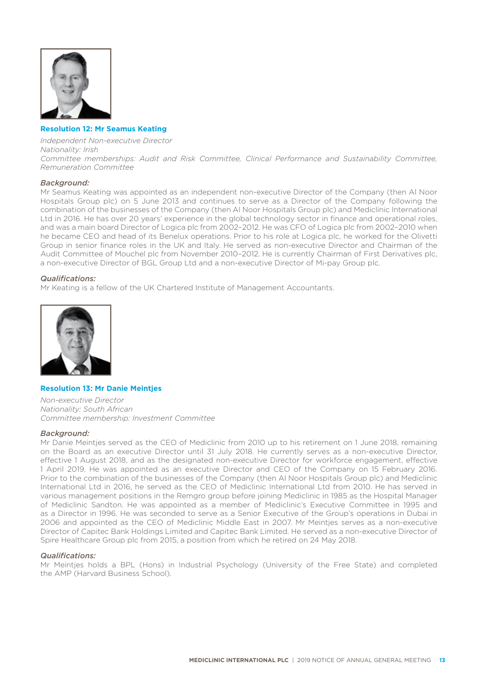![](_page_14_Picture_0.jpeg)

# **Resolution 12: Mr Seamus Keating**

*Independent Non-executive Director Nationality: Irish Committee memberships: Audit and Risk Committee, Clinical Performance and Sustainability Committee, Remuneration Committee*

#### *Background:*

Mr Seamus Keating was appointed as an independent non-executive Director of the Company (then Al Noor Hospitals Group plc) on 5 June 2013 and continues to serve as a Director of the Company following the combination of the businesses of the Company (then Al Noor Hospitals Group plc) and Mediclinic International Ltd in 2016. He has over 20 years' experience in the global technology sector in finance and operational roles, and was a main board Director of Logica plc from 2002–2012. He was CFO of Logica plc from 2002–2010 when he became CEO and head of its Benelux operations. Prior to his role at Logica plc, he worked for the Olivetti Group in senior finance roles in the UK and Italy. He served as non-executive Director and Chairman of the Audit Committee of Mouchel plc from November 2010–2012. He is currently Chairman of First Derivatives plc, a non-executive Director of BGL Group Ltd and a non-executive Director of Mi-pay Group plc.

#### *Qualifi cations:*

Mr Keating is a fellow of the UK Chartered Institute of Management Accountants.

![](_page_14_Picture_7.jpeg)

## **Resolution 13: Mr Danie Meintjes**

*Non-executive Director Nationality: South African Committee membership: Investment Committee*

#### *Background:*

Mr Danie Meinties served as the CEO of Mediclinic from 2010 up to his retirement on 1 June 2018, remaining on the Board as an executive Director until 31 July 2018. He currently serves as a non-executive Director, effective 1 August 2018, and as the designated non-executive Director for workforce engagement, effective 1 April 2019. He was appointed as an executive Director and CEO of the Company on 15 February 2016. Prior to the combination of the businesses of the Company (then Al Noor Hospitals Group plc) and Mediclinic International Ltd in 2016, he served as the CEO of Mediclinic International Ltd from 2010. He has served in various management positions in the Remgro group before joining Mediclinic in 1985 as the Hospital Manager of Mediclinic Sandton. He was appointed as a member of Mediclinic's Executive Committee in 1995 and as a Director in 1996. He was seconded to serve as a Senior Executive of the Group's operations in Dubai in 2006 and appointed as the CEO of Mediclinic Middle East in 2007. Mr Meintjes serves as a non-executive Director of Capitec Bank Holdings Limited and Capitec Bank Limited. He served as a non-executive Director of Spire Healthcare Group plc from 2015, a position from which he retired on 24 May 2018.

#### *Qualifi cations:*

Mr Meintjes holds a BPL (Hons) in Industrial Psychology (University of the Free State) and completed the AMP (Harvard Business School).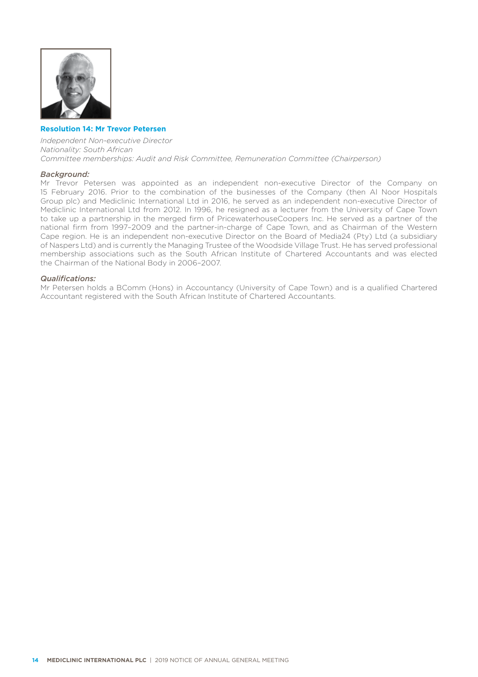![](_page_15_Picture_0.jpeg)

# **Resolution 14: Mr Trevor Petersen**

*Independent Non-executive Director Nationality: South African Committee memberships: Audit and Risk Committee, Remuneration Committee (Chairperson)*

#### *Background:*

Mr Trevor Petersen was appointed as an independent non-executive Director of the Company on 15 February 2016. Prior to the combination of the businesses of the Company (then Al Noor Hospitals Group plc) and Mediclinic International Ltd in 2016, he served as an independent non-executive Director of Mediclinic International Ltd from 2012. In 1996, he resigned as a lecturer from the University of Cape Town to take up a partnership in the merged firm of PricewaterhouseCoopers Inc. He served as a partner of the national firm from 1997-2009 and the partner-in-charge of Cape Town, and as Chairman of the Western Cape region. He is an independent non-executive Director on the Board of Media24 (Pty) Ltd (a subsidiary of Naspers Ltd) and is currently the Managing Trustee of the Woodside Village Trust. He has served professional membership associations such as the South African Institute of Chartered Accountants and was elected the Chairman of the National Body in 2006–2007.

### *Qualifi cations:*

Mr Petersen holds a BComm (Hons) in Accountancy (University of Cape Town) and is a qualified Chartered Accountant registered with the South African Institute of Chartered Accountants.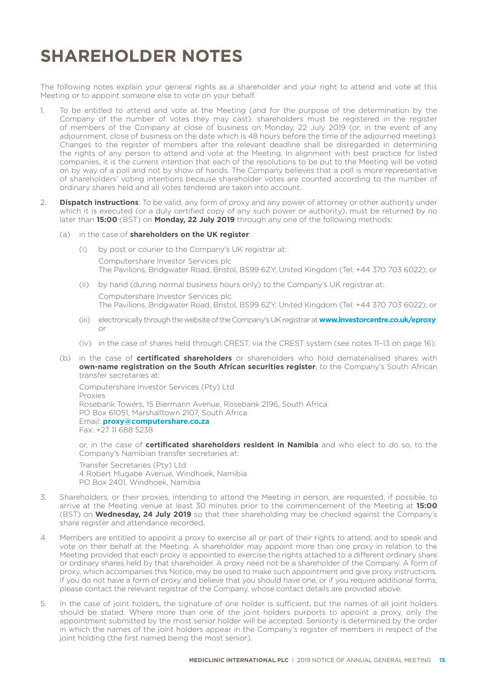# **SHAREHOLDER NOTES**

The following notes explain your general rights as a shareholder and your right to attend and vote at this Meeting or to appoint someone else to vote on your behalf.

- 1. To be entitled to attend and vote at the Meeting (and for the purpose of the determination by the Company of the number of votes they may cast), shareholders must be registered in the register of members of the Company at close of business on Monday, 22 July 2019 (or, in the event of any adjournment, close of business on the date which is 48 hours before the time of the adjourned meeting). Changes to the register of members after the relevant deadline shall be disregarded in determining the rights of any person to attend and vote at the Meeting. In alignment with best practice for listed companies, it is the current intention that each of the resolutions to be put to the Meeting will be voted on by way of a poll and not by show of hands. The Company believes that a poll is more representative of shareholders' voting intentions because shareholder votes are counted according to the number of ordinary shares held and all votes tendered are taken into account.
- 2. **Dispatch instructions**: To be valid, any form of proxy and any power of attorney or other authority under which it is executed (or a duly certified copy of any such power or authority), must be returned by no later than **15:00** (BST) on **Monday, 22 July 2019** through any one of the following methods:
	- (a) in the case of **shareholders on the UK register**:
		- (i) by post or courier to the Company's UK registrar at: Computershare Investor Services plc The Pavilions, Bridgwater Road, Bristol, BS99 6ZY, United Kingdom (Tel: +44 370 703 6022); or
		- (ii) by hand (during normal business hours only) to the Company's UK registrar at: Computershare Investor Services plc The Pavilions, Bridgwater Road, Bristol, BS99 6ZY, United Kingdom (Tel: +44 370 703 6022); or
		- (iii) electronically through the website of the Company's UK registrar at **www.investorcentre.co.uk/eproxy**; or
		- (iv) in the case of shares held through CREST, via the CREST system (see notes 11–13 on page 16);
	- (b) in the case of **certificated shareholders** or shareholders who hold dematerialised shares with **own-name registration on the South African securities register**, to the Company's South African transfer secretaries at:

Computershare Investor Services (Pty) Ltd Proxies Rosebank Towers, 15 Biermann Avenue, Rosebank 2196, South Africa PO Box 61051, Marshalltown 2107, South Africa Email: **proxy@computershare.co.za** Fax: +27 11 688 5238

 or, in the case of **certificated shareholders resident in Namibia** and who elect to do so, to the Company's Namibian transfer secretaries at:

Transfer Secretaries (Pty) Ltd 4 Robert Mugabe Avenue, Windhoek, Namibia PO Box 2401, Windhoek, Namibia

- 3. Shareholders, or their proxies, intending to attend the Meeting in person, are requested, if possible, to arrive at the Meeting venue at least 30 minutes prior to the commencement of the Meeting at **15:00** (BST) on **Wednesday, 24 July 2019** so that their shareholding may be checked against the Company's share register and attendance recorded.
- 4. Members are entitled to appoint a proxy to exercise all or part of their rights to attend, and to speak and vote on their behalf at the Meeting. A shareholder may appoint more than one proxy in relation to the Meeting provided that each proxy is appointed to exercise the rights attached to a different ordinary share or ordinary shares held by that shareholder. A proxy need not be a shareholder of the Company. A form of proxy, which accompanies this Notice, may be used to make such appointment and give proxy instructions. If you do not have a form of proxy and believe that you should have one, or if you require additional forms, please contact the relevant registrar of the Company, whose contact details are provided above.
- 5. In the case of joint holders, the signature of one holder is sufficient, but the names of all joint holders should be stated. Where more than one of the joint holders purports to appoint a proxy, only the appointment submitted by the most senior holder will be accepted. Seniority is determined by the order in which the names of the joint holders appear in the Company's register of members in respect of the joint holding (the first named being the most senior).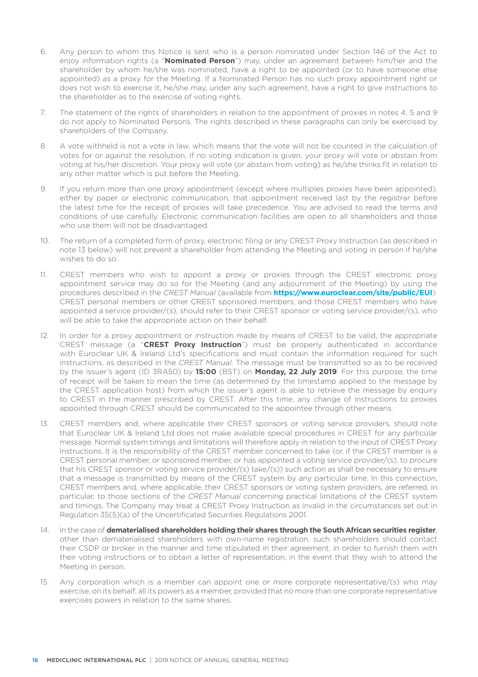- 6. Any person to whom this Notice is sent who is a person nominated under Section 146 of the Act to enjoy information rights (a "**Nominated Person**") may, under an agreement between him/her and the shareholder by whom he/she was nominated, have a right to be appointed (or to have someone else appointed) as a proxy for the Meeting. If a Nominated Person has no such proxy appointment right or does not wish to exercise it, he/she may, under any such agreement, have a right to give instructions to the shareholder as to the exercise of voting rights.
- 7. The statement of the rights of shareholders in relation to the appointment of proxies in notes 4, 5 and 9 do not apply to Nominated Persons. The rights described in these paragraphs can only be exercised by shareholders of the Company.
- 8. A vote withheld is not a vote in law, which means that the vote will not be counted in the calculation of votes for or against the resolution. If no voting indication is given, your proxy will vote or abstain from voting at his/her discretion. Your proxy will vote (or abstain from voting) as he/she thinks fit in relation to any other matter which is put before the Meeting.
- 9. If you return more than one proxy appointment (except where multiples proxies have been appointed), either by paper or electronic communication, that appointment received last by the registrar before the latest time for the receipt of proxies will take precedence. You are advised to read the terms and conditions of use carefully. Electronic communication facilities are open to all shareholders and those who use them will not be disadvantaged.
- 10. The return of a completed form of proxy, electronic filing or any CREST Proxy Instruction (as described in note 13 below) will not prevent a shareholder from attending the Meeting and voting in person if he/she wishes to do so.
- 11. CREST members who wish to appoint a proxy or proxies through the CREST electronic proxy appointment service may do so for the Meeting (and any adjournment of the Meeting) by using the procedures described in the *CREST Manual* (available from **https://www.euroclear.com/site/public/EUI**). CREST personal members or other CREST sponsored members, and those CREST members who have appointed a service provider/(s), should refer to their CREST sponsor or voting service provider/(s), who will be able to take the appropriate action on their behalf.
- 12. In order for a proxy appointment or instruction made by means of CREST to be valid, the appropriate CREST message (a "**CREST Proxy Instruction**") must be properly authenticated in accordance with Euroclear UK & Ireland Ltd's specifications and must contain the information required for such instructions, as described in the *CREST Manual*. The message must be transmitted so as to be received by the issuer's agent (ID 3RA50) by **15:00** (BST) on **Monday, 22 July 2019**. For this purpose, the time of receipt will be taken to mean the time (as determined by the timestamp applied to the message by the CREST application host) from which the issuer's agent is able to retrieve the message by enquiry to CREST in the manner prescribed by CREST. After this time, any change of instructions to proxies appointed through CREST should be communicated to the appointee through other means.
- 13. CREST members and, where applicable their CREST sponsors or voting service providers, should note that Euroclear UK & Ireland Ltd does not make available special procedures in CREST for any particular message. Normal system timings and limitations will therefore apply in relation to the input of CREST Proxy Instructions. It is the responsibility of the CREST member concerned to take (or, if the CREST member is a CREST personal member, or sponsored member, or has appointed a voting service provider/(s), to procure that his CREST sponsor or voting service provider/(s) take/(s)) such action as shall be necessary to ensure that a message is transmitted by means of the CREST system by any particular time. In this connection, CREST members and, where applicable, their CREST sponsors or voting system providers, are referred, in particular, to those sections of the *CREST Manual* concerning practical limitations of the CREST system and timings. The Company may treat a CREST Proxy Instruction as invalid in the circumstances set out in Regulation 35(5)(a) of the Uncertificated Securities Regulations 2001.
- 14. In the case of **dematerialised shareholders holding their shares through the South African securities register**, other than dematerialised shareholders with own-name registration, such shareholders should contact their CSDP or broker in the manner and time stipulated in their agreement, in order to furnish them with their voting instructions or to obtain a letter of representation, in the event that they wish to attend the Meeting in person.
- 15. Any corporation which is a member can appoint one or more corporate representative/(s) who may exercise, on its behalf, all its powers as a member, provided that no more than one corporate representative exercises powers in relation to the same shares.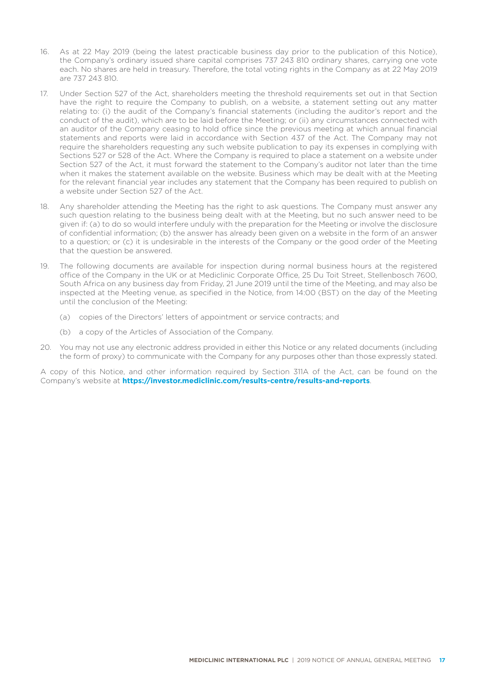- 16. As at 22 May 2019 (being the latest practicable business day prior to the publication of this Notice), the Company's ordinary issued share capital comprises 737 243 810 ordinary shares, carrying one vote each. No shares are held in treasury. Therefore, the total voting rights in the Company as at 22 May 2019 are 737 243 810.
- 17. Under Section 527 of the Act, shareholders meeting the threshold requirements set out in that Section have the right to require the Company to publish, on a website, a statement setting out any matter relating to: (i) the audit of the Company's financial statements (including the auditor's report and the conduct of the audit), which are to be laid before the Meeting; or (ii) any circumstances connected with an auditor of the Company ceasing to hold office since the previous meeting at which annual financial statements and reports were laid in accordance with Section 437 of the Act. The Company may not require the shareholders requesting any such website publication to pay its expenses in complying with Sections 527 or 528 of the Act. Where the Company is required to place a statement on a website under Section 527 of the Act, it must forward the statement to the Company's auditor not later than the time when it makes the statement available on the website. Business which may be dealt with at the Meeting for the relevant financial year includes any statement that the Company has been required to publish on a website under Section 527 of the Act.
- 18. Any shareholder attending the Meeting has the right to ask questions. The Company must answer any such question relating to the business being dealt with at the Meeting, but no such answer need to be given if: (a) to do so would interfere unduly with the preparation for the Meeting or involve the disclosure of confidential information; (b) the answer has already been given on a website in the form of an answer to a question; or (c) it is undesirable in the interests of the Company or the good order of the Meeting that the question be answered.
- 19. The following documents are available for inspection during normal business hours at the registered office of the Company in the UK or at Mediclinic Corporate Office, 25 Du Toit Street, Stellenbosch 7600, South Africa on any business day from Friday, 21 June 2019 until the time of the Meeting, and may also be inspected at the Meeting venue, as specified in the Notice, from 14:00 (BST) on the day of the Meeting until the conclusion of the Meeting:
	- (a) copies of the Directors' letters of appointment or service contracts; and
	- (b) a copy of the Articles of Association of the Company.
- 20. You may not use any electronic address provided in either this Notice or any related documents (including the form of proxy) to communicate with the Company for any purposes other than those expressly stated.

A copy of this Notice, and other information required by Section 311A of the Act, can be found on the Company's website at **https://investor.mediclinic.com/results-centre/results-and-reports**.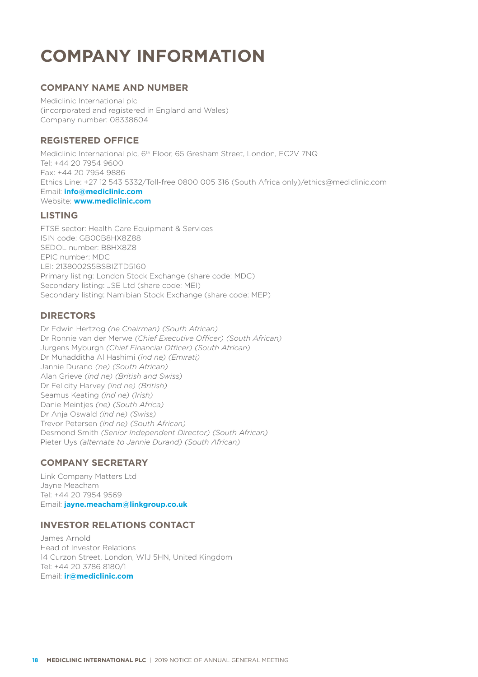# **COMPANY INFORMATION**

# **COMPANY NAME AND NUMBER**

Mediclinic International plc (incorporated and registered in England and Wales) Company number: 08338604

# **REGISTERED OFFICE**

Mediclinic International plc, 6<sup>th</sup> Floor, 65 Gresham Street, London, EC2V 7NQ Tel: +44 20 7954 9600 Fax: +44 20 7954 9886 Ethics Line: +27 12 543 5332/Toll-free 0800 005 316 (South Africa only)/ethics@mediclinic.com Email: **info@mediclinic.com** Website: **www.mediclinic.com**

# **LISTING**

FTSE sector: Health Care Equipment & Services ISIN code: GB00B8HX8Z88 SEDOL number: B8HX8Z8 EPIC number: MDC LEI: 2138002S5BSBIZTD5160 Primary listing: London Stock Exchange (share code: MDC) Secondary listing: JSE Ltd (share code: MEI) Secondary listing: Namibian Stock Exchange (share code: MEP)

# **DIRECTORS**

Dr Edwin Hertzog *(ne Chairman) (South African)* Dr Ronnie van der Merwe *(Chief Executive Officer) (South African)* Jurgens Myburgh *(Chief Financial Officer) (South African)* Dr Muhadditha Al Hashimi *(ind ne) (Emirati)* Jannie Durand *(ne) (South African)* Alan Grieve *(ind ne) (British and Swiss)* Dr Felicity Harvey *(ind ne) (British)* Seamus Keating *(ind ne) (Irish)* Danie Meintjes *(ne) (South Africa)* Dr Anja Oswald *(ind ne) (Swiss)* Trevor Petersen *(ind ne) (South African)* Desmond Smith *(Senior Independent Director) (South African)* Pieter Uys *(alternate to Jannie Durand) (South African)*

# **COMPANY SECRETARY**

Link Company Matters Ltd Jayne Meacham Tel: +44 20 7954 9569 Email: **jayne.meacham@linkgroup.co.uk**

# **INVESTOR RELATIONS CONTACT**

James Arnold Head of Investor Relations 14 Curzon Street, London, W1J 5HN, United Kingdom Tel: +44 20 3786 8180/1 Email: **ir@mediclinic.com**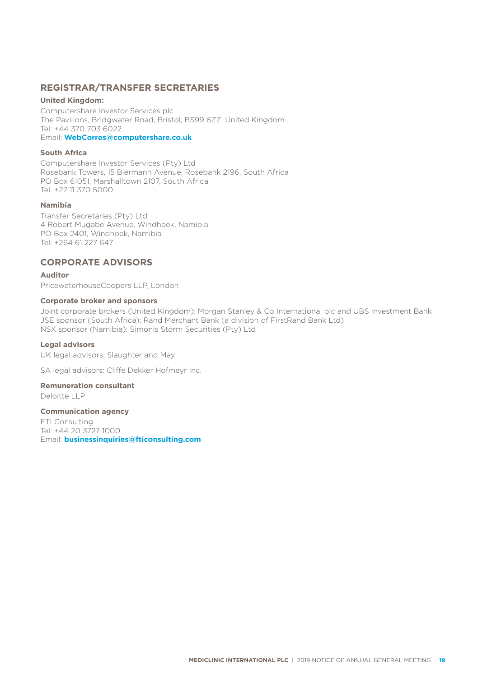# **REGISTRAR/TRANSFER SECRETARIES**

# **United Kingdom:**

Computershare Investor Services plc The Pavilions, Bridgwater Road, Bristol, BS99 6ZZ, United Kingdom Tel: +44 370 703 6022

# Email: **WebCorres@computershare.co.uk**

# **South Africa**

Computershare Investor Services (Pty) Ltd Rosebank Towers, 15 Biermann Avenue, Rosebank 2196, South Africa PO Box 61051, Marshalltown 2107, South Africa Tel: +27 11 370 5000

# **Namibia**

Transfer Secretaries (Pty) Ltd 4 Robert Mugabe Avenue, Windhoek, Namibia PO Box 2401, Windhoek, Namibia Tel: +264 61 227 647

# **CORPORATE ADVISORS**

**Auditor**

PricewaterhouseCoopers LLP, London

# **Corporate broker and sponsors**

Joint corporate brokers (United Kingdom): Morgan Stanley & Co International plc and UBS Investment Bank JSE sponsor (South Africa): Rand Merchant Bank (a division of FirstRand Bank Ltd) NSX sponsor (Namibia): Simonis Storm Securities (Pty) Ltd

## **Legal advisors**

UK legal advisors: Slaughter and May

SA legal advisors: Cliffe Dekker Hofmeyr Inc.

# **Remuneration consultant**

Deloitte LLP

#### **Communication agency**

FTI Consulting Tel: +44 20 3727 1000 Email: **businessinquiries@fticonsulting.com**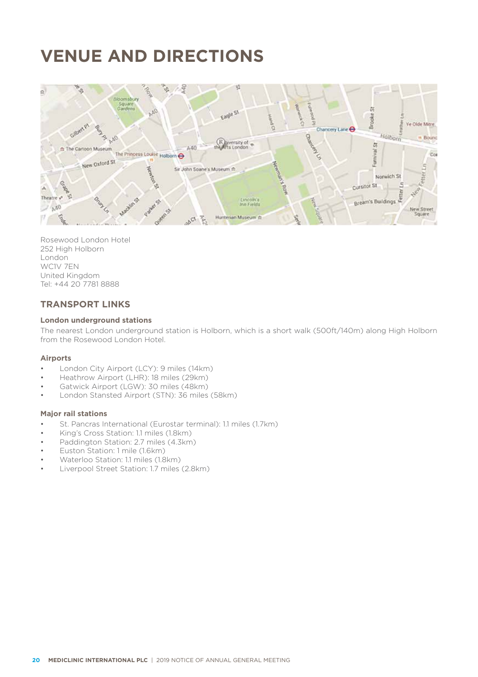# **VENUE AND DIRECTIONS**

![](_page_21_Picture_1.jpeg)

Rosewood London Hotel 252 High Holborn London WC1V 7EN United Kingdom Tel: +44 20 7781 8888

# **TRANSPORT LINKS**

# **London underground stations**

The nearest London underground station is Holborn, which is a short walk (500ft/140m) along High Holborn from the Rosewood London Hotel.

## **Airports**

- London City Airport (LCY): 9 miles (14km)
- Heathrow Airport (LHR): 18 miles (29km)
- Gatwick Airport (LGW): 30 miles (48km)
- London Stansted Airport (STN): 36 miles (58km)

# **Major rail stations**

- St. Pancras International (Eurostar terminal): 1.1 miles (1.7km)
- King's Cross Station: 1.1 miles (1.8km)
- Paddington Station: 2.7 miles (4.3km)
- Euston Station: 1 mile (1.6km)
- Waterloo Station: 1.1 miles (1.8km)
- Liverpool Street Station: 1.7 miles (2.8km)